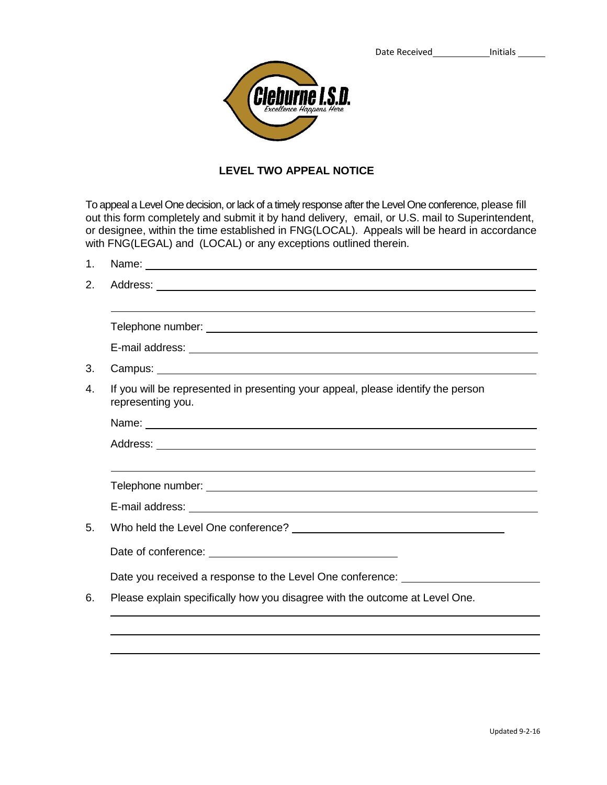

## **LEVEL TWO APPEAL NOTICE**

To appeal a Level One decision, or lack of a timely response after the Level One conference, please fill out this form completely and submit it by hand delivery, email, or U.S. mail to Superintendent, or designee, within the time established in FNG(LOCAL). Appeals will be heard in accordance with FNG(LEGAL) and (LOCAL) or any exceptions outlined therein.

| 1. |                                                                                                                                                                                                                                |
|----|--------------------------------------------------------------------------------------------------------------------------------------------------------------------------------------------------------------------------------|
| 2. |                                                                                                                                                                                                                                |
|    |                                                                                                                                                                                                                                |
|    |                                                                                                                                                                                                                                |
|    | E-mail address: Note and the set of the set of the set of the set of the set of the set of the set of the set of the set of the set of the set of the set of the set of the set of the set of the set of the set of the set of |
| 3. |                                                                                                                                                                                                                                |
| 4. | If you will be represented in presenting your appeal, please identify the person<br>representing you.                                                                                                                          |
|    |                                                                                                                                                                                                                                |
|    |                                                                                                                                                                                                                                |
|    |                                                                                                                                                                                                                                |
|    |                                                                                                                                                                                                                                |
|    | E-mail address: experience of the contract of the contract of the contract of the contract of the contract of the contract of the contract of the contract of the contract of the contract of the contract of the contract of  |
| 5. |                                                                                                                                                                                                                                |
|    |                                                                                                                                                                                                                                |
|    | Date you received a response to the Level One conference: ______________________                                                                                                                                               |
| 6. | Please explain specifically how you disagree with the outcome at Level One.                                                                                                                                                    |